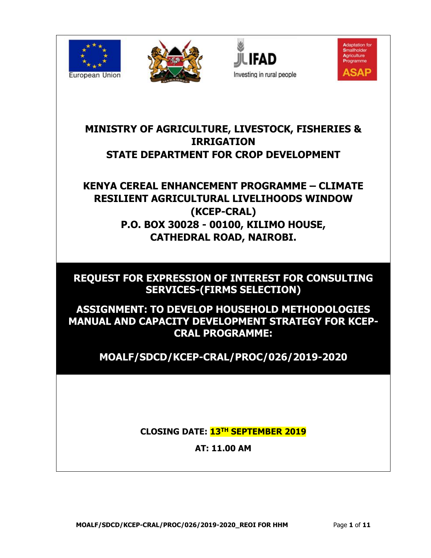







**MINISTRY OF AGRICULTURE, LIVESTOCK, FISHERIES & IRRIGATION STATE DEPARTMENT FOR CROP DEVELOPMENT**

**KENYA CEREAL ENHANCEMENT PROGRAMME – CLIMATE RESILIENT AGRICULTURAL LIVELIHOODS WINDOW (KCEP-CRAL) P.O. BOX 30028 - 00100, KILIMO HOUSE, CATHEDRAL ROAD, NAIROBI.**

**REQUEST FOR EXPRESSION OF INTEREST FOR CONSULTING SERVICES-(FIRMS SELECTION)** 

**ASSIGNMENT: TO DEVELOP HOUSEHOLD METHODOLOGIES MANUAL AND CAPACITY DEVELOPMENT STRATEGY FOR KCEP-CRAL PROGRAMME:**

**MOALF/SDCD/KCEP-CRAL/PROC/026/2019-2020**

**CLOSING DATE: 13TH SEPTEMBER 2019**

**AT: 11.00 AM**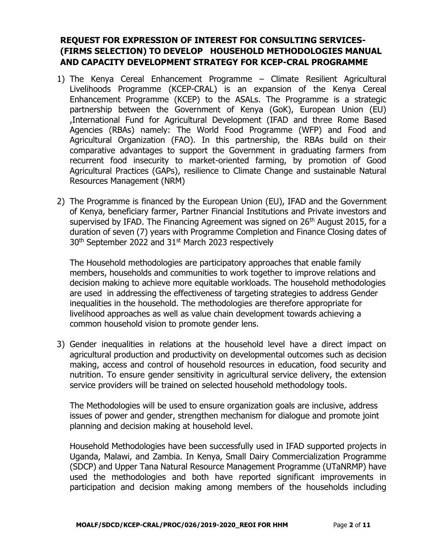# **REQUEST FOR EXPRESSION OF INTEREST FOR CONSULTING SERVICES- (FIRMS SELECTION) TO DEVELOP HOUSEHOLD METHODOLOGIES MANUAL AND CAPACITY DEVELOPMENT STRATEGY FOR KCEP-CRAL PROGRAMME**

- 1) The Kenya Cereal Enhancement Programme Climate Resilient Agricultural Livelihoods Programme (KCEP-CRAL) is an expansion of the Kenya Cereal Enhancement Programme (KCEP) to the ASALs. The Programme is a strategic partnership between the Government of Kenya (GoK), European Union (EU) ,International Fund for Agricultural Development (IFAD and three Rome Based Agencies (RBAs) namely: The World Food Programme (WFP) and Food and Agricultural Organization (FAO). In this partnership, the RBAs build on their comparative advantages to support the Government in graduating farmers from recurrent food insecurity to market-oriented farming, by promotion of Good Agricultural Practices (GAPs), resilience to Climate Change and sustainable Natural Resources Management (NRM)
- 2) The Programme is financed by the European Union (EU), IFAD and the Government of Kenya, beneficiary farmer, Partner Financial Institutions and Private investors and supervised by IFAD. The Financing Agreement was signed on 26<sup>th</sup> August 2015, for a duration of seven (7) years with Programme Completion and Finance Closing dates of 30th September 2022 and 31st March 2023 respectively

The Household methodologies are participatory approaches that enable family members, households and communities to work together to improve relations and decision making to achieve more equitable workloads. The household methodologies are used in addressing the effectiveness of targeting strategies to address Gender inequalities in the household. The methodologies are therefore appropriate for livelihood approaches as well as value chain development towards achieving a common household vision to promote gender lens.

3) Gender inequalities in relations at the household level have a direct impact on agricultural production and productivity on developmental outcomes such as decision making, access and control of household resources in education, food security and nutrition. To ensure gender sensitivity in agricultural service delivery, the extension service providers will be trained on selected household methodology tools.

The Methodologies will be used to ensure organization goals are inclusive, address issues of power and gender, strengthen mechanism for dialogue and promote joint planning and decision making at household level.

Household Methodologies have been successfully used in IFAD supported projects in Uganda, Malawi, and Zambia. In Kenya, Small Dairy Commercialization Programme (SDCP) and Upper Tana Natural Resource Management Programme (UTaNRMP) have used the methodologies and both have reported significant improvements in participation and decision making among members of the households including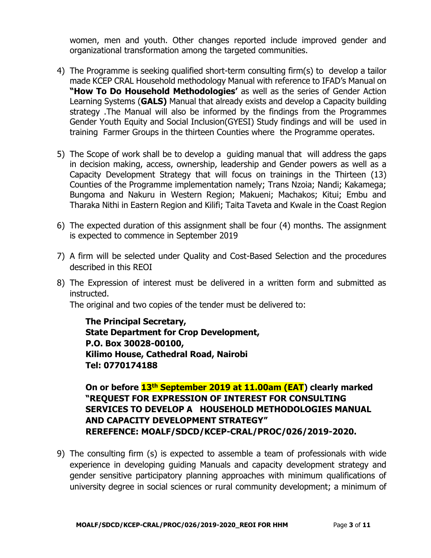women, men and youth. Other changes reported include improved gender and organizational transformation among the targeted communities.

- 4) The Programme is seeking qualified short-term consulting firm(s) to develop a tailor made KCEP CRAL Household methodology Manual with reference to IFAD's Manual on **"How To Do Household Methodologies'** as well as the series of Gender Action Learning Systems (**GALS)** Manual that already exists and develop a Capacity building strategy .The Manual will also be informed by the findings from the Programmes Gender Youth Equity and Social Inclusion(GYESI) Study findings and will be used in training Farmer Groups in the thirteen Counties where the Programme operates.
- 5) The Scope of work shall be to develop a guiding manual that will address the gaps in decision making, access, ownership, leadership and Gender powers as well as a Capacity Development Strategy that will focus on trainings in the Thirteen (13) Counties of the Programme implementation namely; Trans Nzoia; Nandi; Kakamega; Bungoma and Nakuru in Western Region; Makueni; Machakos; Kitui; Embu and Tharaka Nithi in Eastern Region and Kilifi; Taita Taveta and Kwale in the Coast Region
- 6) The expected duration of this assignment shall be four (4) months. The assignment is expected to commence in September 2019
- 7) A firm will be selected under Quality and Cost-Based Selection and the procedures described in this REOI
- 8) The Expression of interest must be delivered in a written form and submitted as instructed.

The original and two copies of the tender must be delivered to:

**The Principal Secretary, State Department for Crop Development, P.O. Box 30028-00100, Kilimo House, Cathedral Road, Nairobi Tel: 0770174188**

**On or before 13th September 2019 at 11.00am (EAT) clearly marked "REQUEST FOR EXPRESSION OF INTEREST FOR CONSULTING SERVICES TO DEVELOP A HOUSEHOLD METHODOLOGIES MANUAL AND CAPACITY DEVELOPMENT STRATEGY" REREFENCE: MOALF/SDCD/KCEP-CRAL/PROC/026/2019-2020.**

9) The consulting firm (s) is expected to assemble a team of professionals with wide experience in developing guiding Manuals and capacity development strategy and gender sensitive participatory planning approaches with minimum qualifications of university degree in social sciences or rural community development; a minimum of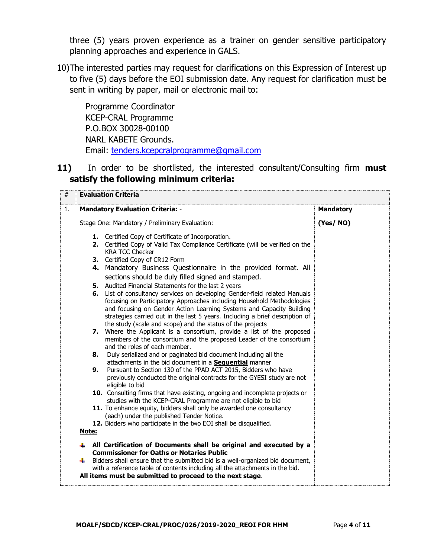three (5) years proven experience as a trainer on gender sensitive participatory planning approaches and experience in GALS.

10)The interested parties may request for clarifications on this Expression of Interest up to five (5) days before the EOI submission date. Any request for clarification must be sent in writing by paper, mail or electronic mail to:

Programme Coordinator KCEP-CRAL Programme P.O.BOX 30028-00100 NARL KABETE Grounds. Email: [tenders.kcepcralprogramme@gmail.com](mailto:tenders.kcepcralprogramme@gmail.com)

**11)** In order to be shortlisted, the interested consultant/Consulting firm **must satisfy the following minimum criteria:**

| #  | <b>Evaluation Criteria</b>                                                                                                                                                                                                                                                                                                                                                 |                  |
|----|----------------------------------------------------------------------------------------------------------------------------------------------------------------------------------------------------------------------------------------------------------------------------------------------------------------------------------------------------------------------------|------------------|
| 1. | <b>Mandatory Evaluation Criteria: -</b>                                                                                                                                                                                                                                                                                                                                    | <b>Mandatory</b> |
|    | Stage One: Mandatory / Preliminary Evaluation:                                                                                                                                                                                                                                                                                                                             | (Yes/NO)         |
|    | 1. Certified Copy of Certificate of Incorporation.<br>2. Certified Copy of Valid Tax Compliance Certificate (will be verified on the<br><b>KRA TCC Checker</b>                                                                                                                                                                                                             |                  |
|    | 3. Certified Copy of CR12 Form                                                                                                                                                                                                                                                                                                                                             |                  |
|    | 4. Mandatory Business Questionnaire in the provided format. All<br>sections should be duly filled signed and stamped.                                                                                                                                                                                                                                                      |                  |
|    | 5. Audited Financial Statements for the last 2 years                                                                                                                                                                                                                                                                                                                       |                  |
|    | 6. List of consultancy services on developing Gender-field related Manuals<br>focusing on Participatory Approaches including Household Methodologies<br>and focusing on Gender Action Learning Systems and Capacity Building<br>strategies carried out in the last 5 years. Including a brief description of<br>the study (scale and scope) and the status of the projects |                  |
|    | 7. Where the Applicant is a consortium, provide a list of the proposed<br>members of the consortium and the proposed Leader of the consortium<br>and the roles of each member.                                                                                                                                                                                             |                  |
|    | 8. Duly serialized and or paginated bid document including all the<br>attachments in the bid document in a <b>Sequential</b> manner                                                                                                                                                                                                                                        |                  |
|    | Pursuant to Section 130 of the PPAD ACT 2015, Bidders who have<br>9.<br>previously conducted the original contracts for the GYESI study are not<br>eligible to bid                                                                                                                                                                                                         |                  |
|    | 10. Consulting firms that have existing, ongoing and incomplete projects or<br>studies with the KCEP-CRAL Programme are not eligible to bid                                                                                                                                                                                                                                |                  |
|    | 11. To enhance equity, bidders shall only be awarded one consultancy<br>(each) under the published Tender Notice.                                                                                                                                                                                                                                                          |                  |
|    | 12. Bidders who participate in the two EOI shall be disqualified.                                                                                                                                                                                                                                                                                                          |                  |
|    | <u>Note:</u>                                                                                                                                                                                                                                                                                                                                                               |                  |
|    | All Certification of Documents shall be original and executed by a<br>÷<br><b>Commissioner for Oaths or Notaries Public</b>                                                                                                                                                                                                                                                |                  |
|    | Bidders shall ensure that the submitted bid is a well-organized bid document,<br>4<br>with a reference table of contents including all the attachments in the bid.<br>All items must be submitted to proceed to the next stage.                                                                                                                                            |                  |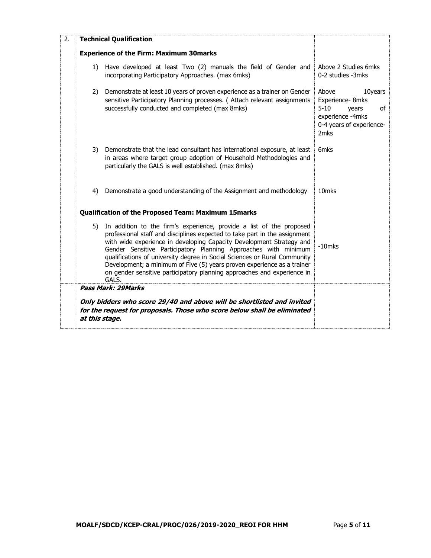| 2. |                                                                                                                                                                                                                 | <b>Technical Qualification</b>                                                                                                                                                                                                                                                                                                                                                                                                                                                                                                            |                                                                                                                        |
|----|-----------------------------------------------------------------------------------------------------------------------------------------------------------------------------------------------------------------|-------------------------------------------------------------------------------------------------------------------------------------------------------------------------------------------------------------------------------------------------------------------------------------------------------------------------------------------------------------------------------------------------------------------------------------------------------------------------------------------------------------------------------------------|------------------------------------------------------------------------------------------------------------------------|
|    |                                                                                                                                                                                                                 | <b>Experience of the Firm: Maximum 30marks</b>                                                                                                                                                                                                                                                                                                                                                                                                                                                                                            |                                                                                                                        |
|    | 1)                                                                                                                                                                                                              | Have developed at least Two (2) manuals the field of Gender and<br>incorporating Participatory Approaches. (max 6mks)                                                                                                                                                                                                                                                                                                                                                                                                                     | Above 2 Studies 6mks<br>0-2 studies -3mks                                                                              |
|    | 2)                                                                                                                                                                                                              | Demonstrate at least 10 years of proven experience as a trainer on Gender<br>sensitive Participatory Planning processes. ( Attach relevant assignments<br>successfully conducted and completed (max 8mks)                                                                                                                                                                                                                                                                                                                                 | Above<br>10years<br>Experience-8mks<br>$5 - 10$<br>of<br>years<br>experience -4mks<br>0-4 years of experience-<br>2mks |
|    | 3)<br>Demonstrate that the lead consultant has international exposure, at least<br>in areas where target group adoption of Household Methodologies and<br>particularly the GALS is well established. (max 8mks) |                                                                                                                                                                                                                                                                                                                                                                                                                                                                                                                                           | 6 <sub>mks</sub>                                                                                                       |
|    | 4)                                                                                                                                                                                                              | Demonstrate a good understanding of the Assignment and methodology                                                                                                                                                                                                                                                                                                                                                                                                                                                                        | 10mks                                                                                                                  |
|    |                                                                                                                                                                                                                 | Qualification of the Proposed Team: Maximum 15marks                                                                                                                                                                                                                                                                                                                                                                                                                                                                                       |                                                                                                                        |
|    | 5)                                                                                                                                                                                                              | In addition to the firm's experience, provide a list of the proposed<br>professional staff and disciplines expected to take part in the assignment<br>with wide experience in developing Capacity Development Strategy and<br>Gender Sensitive Participatory Planning Approaches with minimum<br>qualifications of university degree in Social Sciences or Rural Community<br>Development; a minimum of Five (5) years proven experience as a trainer<br>on gender sensitive participatory planning approaches and experience in<br>GALS. | $-10$ mks                                                                                                              |
|    |                                                                                                                                                                                                                 | Pass Mark: 29 Marks                                                                                                                                                                                                                                                                                                                                                                                                                                                                                                                       |                                                                                                                        |
|    | Only bidders who score 29/40 and above will be shortlisted and invited<br>for the request for proposals. Those who score below shall be eliminated<br>at this stage.                                            |                                                                                                                                                                                                                                                                                                                                                                                                                                                                                                                                           |                                                                                                                        |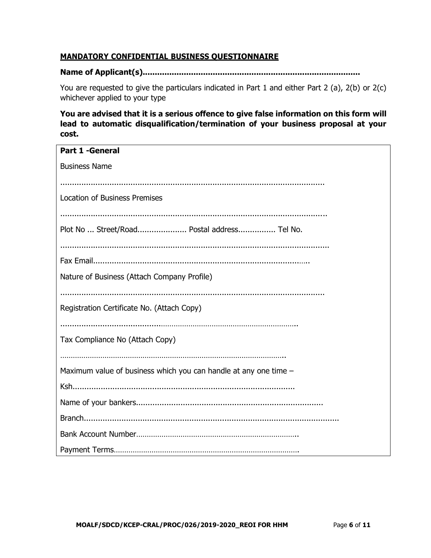## **MANDATORY CONFIDENTIAL BUSINESS QUESTIONNAIRE**

# **Name of Applicant(s)..........................................................................................**

You are requested to give the particulars indicated in Part 1 and either Part 2 (a), 2(b) or 2(c) whichever applied to your type

**You are advised that it is a serious offence to give false information on this form will lead to automatic disqualification/termination of your business proposal at your cost.**

| <b>Part 1 -General</b>                                           |
|------------------------------------------------------------------|
| <b>Business Name</b>                                             |
|                                                                  |
| <b>Location of Business Premises</b>                             |
|                                                                  |
|                                                                  |
| Plot No  Street/Road Postal address Tel No.                      |
|                                                                  |
|                                                                  |
| Nature of Business (Attach Company Profile)                      |
|                                                                  |
| Registration Certificate No. (Attach Copy)                       |
|                                                                  |
| Tax Compliance No (Attach Copy)                                  |
|                                                                  |
|                                                                  |
| Maximum value of business which you can handle at any one time - |
|                                                                  |
|                                                                  |
|                                                                  |
|                                                                  |
|                                                                  |
|                                                                  |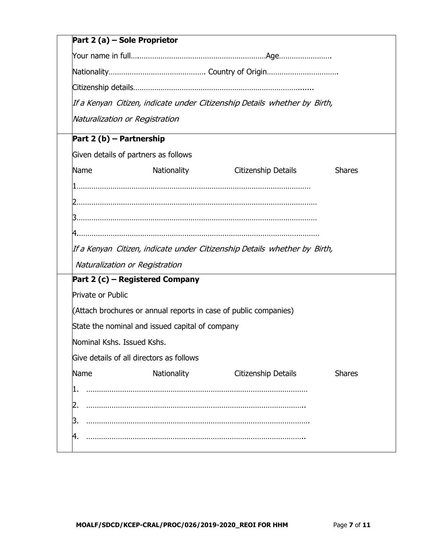| Part 2 (a) – Sole Proprietor                                              |                                                                  |                     |               |  |  |  |  |
|---------------------------------------------------------------------------|------------------------------------------------------------------|---------------------|---------------|--|--|--|--|
|                                                                           |                                                                  |                     |               |  |  |  |  |
|                                                                           |                                                                  |                     |               |  |  |  |  |
|                                                                           |                                                                  |                     |               |  |  |  |  |
| If a Kenyan Citizen, indicate under Citizenship Details whether by Birth, |                                                                  |                     |               |  |  |  |  |
| Naturalization or Registration                                            |                                                                  |                     |               |  |  |  |  |
| Part 2 (b) - Partnership                                                  |                                                                  |                     |               |  |  |  |  |
| Given details of partners as follows                                      |                                                                  |                     |               |  |  |  |  |
| Name                                                                      | <b>Nationality</b>                                               | Citizenship Details | <b>Shares</b> |  |  |  |  |
|                                                                           |                                                                  |                     |               |  |  |  |  |
|                                                                           |                                                                  |                     |               |  |  |  |  |
|                                                                           |                                                                  |                     |               |  |  |  |  |
|                                                                           |                                                                  |                     |               |  |  |  |  |
| If a Kenyan Citizen, indicate under Citizenship Details whether by Birth, |                                                                  |                     |               |  |  |  |  |
| Naturalization or Registration                                            |                                                                  |                     |               |  |  |  |  |
| Part 2 (c) – Registered Company                                           |                                                                  |                     |               |  |  |  |  |
| Private or Public                                                         |                                                                  |                     |               |  |  |  |  |
|                                                                           | (Attach brochures or annual reports in case of public companies) |                     |               |  |  |  |  |
|                                                                           | State the nominal and issued capital of company                  |                     |               |  |  |  |  |
| Nominal Kshs. Issued Kshs.                                                |                                                                  |                     |               |  |  |  |  |
| Give details of all directors as follows                                  |                                                                  |                     |               |  |  |  |  |
| Name                                                                      | Nationality                                                      | Citizenship Details | <b>Shares</b> |  |  |  |  |
|                                                                           |                                                                  |                     |               |  |  |  |  |
| 2.                                                                        |                                                                  |                     |               |  |  |  |  |
| З.                                                                        |                                                                  |                     |               |  |  |  |  |
| 4.                                                                        |                                                                  |                     |               |  |  |  |  |
|                                                                           |                                                                  |                     |               |  |  |  |  |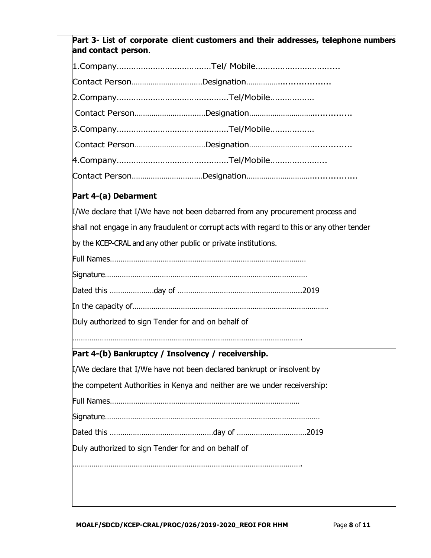| Part 3- List of corporate client customers and their addresses, telephone numbers<br>and contact person. |  |
|----------------------------------------------------------------------------------------------------------|--|
|                                                                                                          |  |
|                                                                                                          |  |
|                                                                                                          |  |
|                                                                                                          |  |
|                                                                                                          |  |
|                                                                                                          |  |
|                                                                                                          |  |
|                                                                                                          |  |
| Part 4-(a) Debarment                                                                                     |  |
| I/We declare that I/We have not been debarred from any procurement process and                           |  |
| shall not engage in any fraudulent or corrupt acts with regard to this or any other tender               |  |
| by the KCEP-CRAL and any other public or private institutions.                                           |  |
|                                                                                                          |  |
|                                                                                                          |  |
|                                                                                                          |  |
|                                                                                                          |  |
| Duly authorized to sign Tender for and on behalf of                                                      |  |
| Part 4-(b) Bankruptcy / Insolvency / receivership.                                                       |  |
| I/We declare that I/We have not been declared bankrupt or insolvent by                                   |  |
| the competent Authorities in Kenya and neither are we under receivership:                                |  |
|                                                                                                          |  |
|                                                                                                          |  |
|                                                                                                          |  |
| Duly authorized to sign Tender for and on behalf of                                                      |  |
|                                                                                                          |  |
|                                                                                                          |  |
|                                                                                                          |  |
|                                                                                                          |  |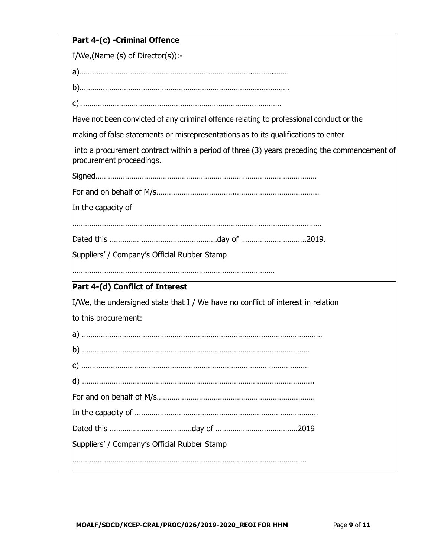| Part 4-(c) - Criminal Offence                                                                                            |  |
|--------------------------------------------------------------------------------------------------------------------------|--|
| $I/We$ , (Name (s) of Director(s)):-                                                                                     |  |
|                                                                                                                          |  |
|                                                                                                                          |  |
|                                                                                                                          |  |
| Have not been convicted of any criminal offence relating to professional conduct or the                                  |  |
| making of false statements or misrepresentations as to its qualifications to enter                                       |  |
| into a procurement contract within a period of three (3) years preceding the commencement of<br>procurement proceedings. |  |
|                                                                                                                          |  |
|                                                                                                                          |  |
| In the capacity of                                                                                                       |  |
|                                                                                                                          |  |
|                                                                                                                          |  |
| Suppliers' / Company's Official Rubber Stamp                                                                             |  |
|                                                                                                                          |  |
| Part 4-(d) Conflict of Interest                                                                                          |  |
| I/We, the undersigned state that I / We have no conflict of interest in relation                                         |  |
| to this procurement:                                                                                                     |  |
|                                                                                                                          |  |
|                                                                                                                          |  |
|                                                                                                                          |  |
|                                                                                                                          |  |
|                                                                                                                          |  |
|                                                                                                                          |  |
|                                                                                                                          |  |
| Suppliers' / Company's Official Rubber Stamp                                                                             |  |
|                                                                                                                          |  |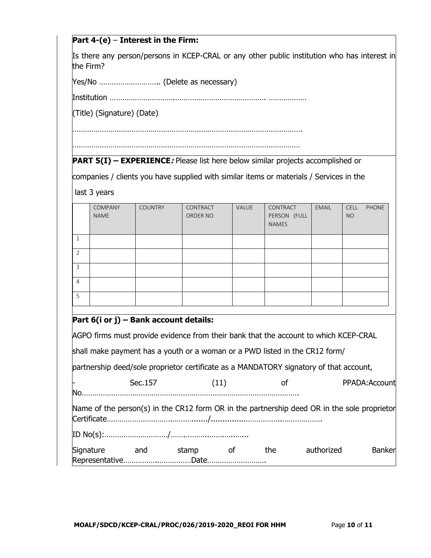## **Part 4-(e)** – **Interest in the Firm:**

Is there any person/persons in KCEP-CRAL or any other public institution who has interest in the Firm?

Yes/No ……………………….. (Delete as necessary)

Institution ………………………….……………………………………. ………………

(Title) (Signature) (Date)

……………………………………………………………………………………………….

………………………………………………………………………………………………

#### **PART 5(I) – EXPERIENCE***:* Please list here below similar projects accomplished or

companies / clients you have supplied with similar items or materials / Services in the

last 3 years

|                | COMPANY<br><b>NAME</b> | <b>COUNTRY</b> | CONTRACT<br>ORDER NO | VALUE | CONTRACT<br>PERSON (FULL<br><b>NAMES</b> | <b>EMAIL</b> | <b>CELL</b><br><b>NO</b> | PHONE |
|----------------|------------------------|----------------|----------------------|-------|------------------------------------------|--------------|--------------------------|-------|
|                |                        |                |                      |       |                                          |              |                          |       |
| $\overline{2}$ |                        |                |                      |       |                                          |              |                          |       |
| 3              |                        |                |                      |       |                                          |              |                          |       |
| $\overline{4}$ |                        |                |                      |       |                                          |              |                          |       |
| 5              |                        |                |                      |       |                                          |              |                          |       |

#### **Part 6(i or j) – Bank account details:**

AGPO firms must provide evidence from their bank that the account to which KCEP-CRAL

shall make payment has a youth or a woman or a PWD listed in the CR12 form/

partnership deed/sole proprietor certificate as a MANDATORY signatory of that account,

| F         | Sec. 157 |       | (11) |     | PPADA: Account                                                                              |        |
|-----------|----------|-------|------|-----|---------------------------------------------------------------------------------------------|--------|
| <b>No</b> |          |       |      |     |                                                                                             |        |
|           |          |       |      |     | Name of the person(s) in the CR12 form OR in the partnership deed OR in the sole proprietor |        |
|           |          |       |      |     |                                                                                             |        |
| Signature | and      | stamp | 0t   | the | authorized                                                                                  | Banker |